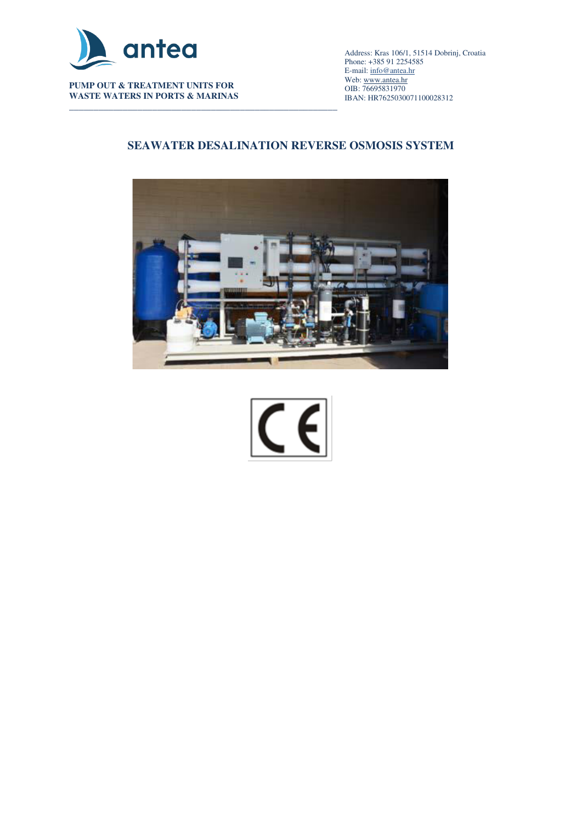

**PUMP OUT & TREATMENT UNITS FOR WASTE WATERS IN PORTS & MARINAS** 

\_\_\_\_\_\_\_\_\_\_\_\_\_\_\_\_\_\_\_\_\_\_\_\_\_\_\_\_\_\_\_\_\_\_\_\_\_\_\_\_\_\_\_\_\_\_\_\_\_\_\_\_\_\_\_\_\_\_\_\_\_\_\_\_\_\_\_\_\_\_\_\_\_\_\_\_\_\_\_\_\_\_\_\_\_\_\_\_\_\_ Address: Kras 106/1, 51514 Dobrinj, Croatia Phone: +385 91 2254585 E-mail[: info@antea.hr](mailto:info@antea.hr) Web: www.antea.hr OIB: 76695831970 IBAN: HR7625030071100028312

# **SEAWATER DESALINATION REVERSE OSMOSIS SYSTEM**



 $\in$   $\in$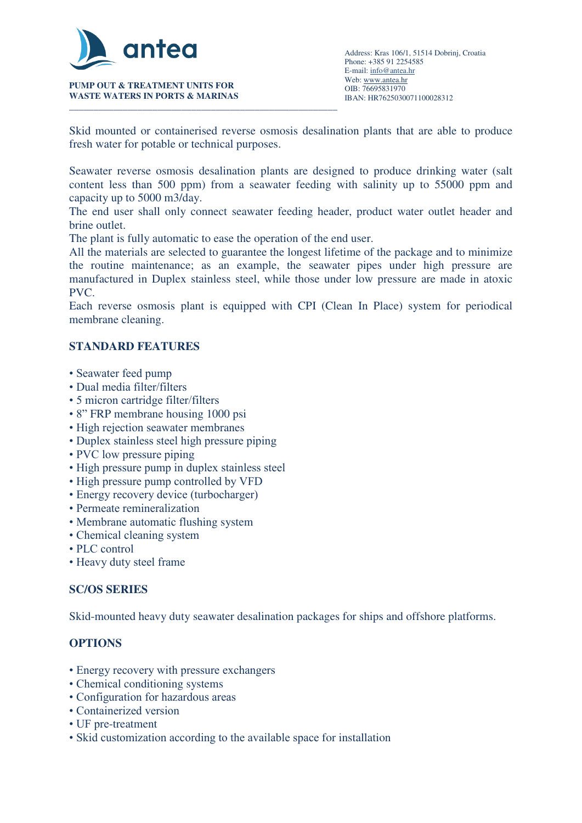

**PUMP OUT & TREATMENT UNITS FOR WASTE WATERS IN PORTS & MARINAS** 

Skid mounted or containerised reverse osmosis desalination plants that are able to produce fresh water for potable or technical purposes.

Seawater reverse osmosis desalination plants are designed to produce drinking water (salt content less than 500 ppm) from a seawater feeding with salinity up to 55000 ppm and capacity up to 5000 m3/day.

The end user shall only connect seawater feeding header, product water outlet header and brine outlet.

The plant is fully automatic to ease the operation of the end user.

All the materials are selected to guarantee the longest lifetime of the package and to minimize the routine maintenance; as an example, the seawater pipes under high pressure are manufactured in Duplex stainless steel, while those under low pressure are made in atoxic PVC.

Each reverse osmosis plant is equipped with CPI (Clean In Place) system for periodical membrane cleaning.

## **STANDARD FEATURES**

- Seawater feed pump
- Dual media filter/filters
- 5 micron cartridge filter/filters
- 8" FRP membrane housing 1000 psi
- High rejection seawater membranes
- Duplex stainless steel high pressure piping
- PVC low pressure piping
- High pressure pump in duplex stainless steel
- High pressure pump controlled by VFD
- Energy recovery device (turbocharger)
- Permeate remineralization
- Membrane automatic flushing system
- Chemical cleaning system
- PLC control
- Heavy duty steel frame

### **SC/OS SERIES**

Skid-mounted heavy duty seawater desalination packages for ships and offshore platforms.

### **OPTIONS**

- Energy recovery with pressure exchangers
- Chemical conditioning systems
- Configuration for hazardous areas
- Containerized version
- UF pre-treatment
- Skid customization according to the available space for installation